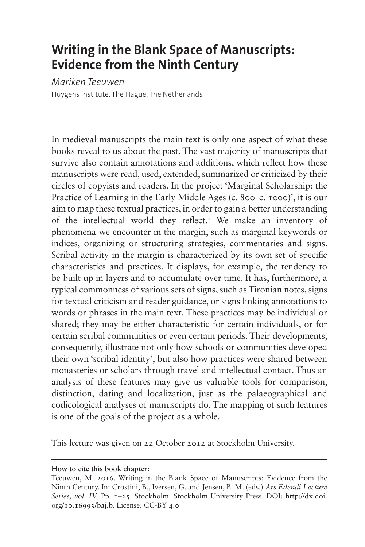# **Writing in the Blank Space of Manuscripts: Evidence from the Ninth Century**

*Mariken Teeuwen*

Huygens Institute, The Hague, The Netherlands

In medieval manuscripts the main text is only one aspect of what these books reveal to us about the past. The vast majority of manuscripts that survive also contain annotations and additions, which reflect how these manuscripts were read, used, extended, summarized or criticized by their circles of copyists and readers. In the project 'Marginal Scholarship: the Practice of Learning in the Early Middle Ages (c. 800–c. 1000)', it is our aim to map these textual practices, in order to gain a better understanding of the intellectual world they reflect.<sup>1</sup> We make an inventory of phenomena we encounter in the margin, such as marginal keywords or indices, organizing or structuring strategies, commentaries and signs. Scribal activity in the margin is characterized by its own set of specific characteristics and practices. It displays, for example, the tendency to be built up in layers and to accumulate over time. It has, furthermore, a typical commonness of various sets of signs, such as Tironian notes, signs for textual criticism and reader guidance, or signs linking annotations to words or phrases in the main text. These practices may be individual or shared; they may be either characteristic for certain individuals, or for certain scribal communities or even certain periods. Their developments, consequently, illustrate not only how schools or communities developed their own 'scribal identity', but also how practices were shared between monasteries or scholars through travel and intellectual contact. Thus an analysis of these features may give us valuable tools for comparison, distinction, dating and localization, just as the palaeographical and codicological analyses of manuscripts do. The mapping of such features is one of the goals of the project as a whole.

**How to cite this book chapter:**

This lecture was given on 22 October 2012 at Stockholm University.

Teeuwen, M. 2016. Writing in the Blank Space of Manuscripts: Evidence from the Ninth Century. In: Crostini, B., Iversen, G. and Jensen, B. M. (eds.) *Ars Edendi Lecture Series, vol. IV.* Pp. 1–25. Stockholm: Stockholm University Press. DOI: [http://dx.doi.](http://dx.doi.org/10.16993/baj.b) [org/10.16993/baj.b.](http://dx.doi.org/10.16993/baj.b) License: CC-BY 4.0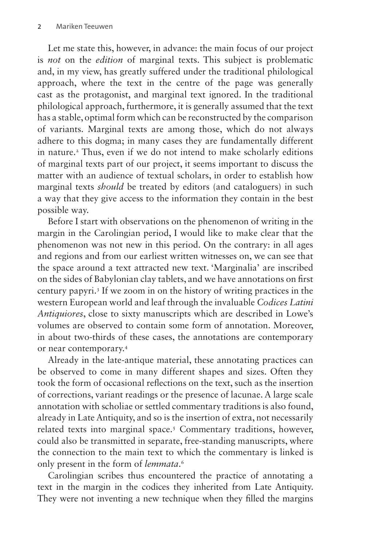Let me state this, however, in advance: the main focus of our project is *not* on the *edition* of marginal texts. This subject is problematic and, in my view, has greatly suffered under the traditional philological approach, where the text in the centre of the page was generally cast as the protagonist, and marginal text ignored. In the traditional philological approach, furthermore, it is generally assumed that the text has a stable, optimal form which can be reconstructed by the comparison of variants. Marginal texts are among those, which do not always adhere to this dogma; in many cases they are fundamentally different in nature[.2](#page-15-1) Thus, even if we do not intend to make scholarly editions of marginal texts part of our project, it seems important to discuss the matter with an audience of textual scholars, in order to establish how marginal texts *should* be treated by editors (and cataloguers) in such a way that they give access to the information they contain in the best possible way.

Before I start with observations on the phenomenon of writing in the margin in the Carolingian period, I would like to make clear that the phenomenon was not new in this period. On the contrary: in all ages and regions and from our earliest written witnesses on, we can see that the space around a text attracted new text. 'Marginalia' are inscribed on the sides of Babylonian clay tablets, and we have annotations on first century papyri[.3](#page-16-0) If we zoom in on the history of writing practices in the western European world and leaf through the invaluable *Codices Latini Antiquiores*, close to sixty manuscripts which are described in Lowe's volumes are observed to contain some form of annotation. Moreover, in about two-thirds of these cases, the annotations are contemporary or near contemporary[.4](#page-16-1)

Already in the late-antique material, these annotating practices can be observed to come in many different shapes and sizes. Often they took the form of occasional reflections on the text, such as the insertion of corrections, variant readings or the presence of lacunae. A large scale annotation with scholiae or settled commentary traditions is also found, already in Late Antiquity, and so is the insertion of extra, not necessarily related texts into marginal space.<sup>5</sup> Commentary traditions, however, could also be transmitted in separate, free-standing manuscripts, where the connection to the main text to which the commentary is linked is only present in the form of *lemmata*. [6](#page-16-3)

Carolingian scribes thus encountered the practice of annotating a text in the margin in the codices they inherited from Late Antiquity. They were not inventing a new technique when they filled the margins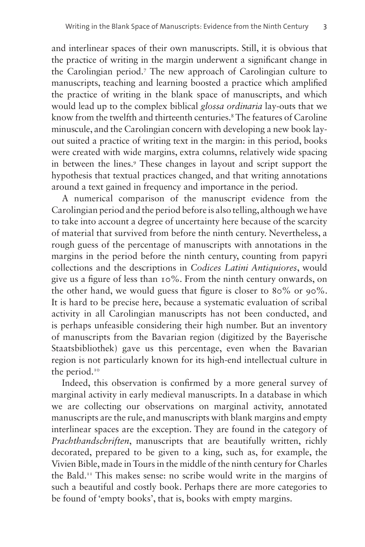and interlinear spaces of their own manuscripts. Still, it is obvious that the practice of writing in the margin underwent a significant change in the Carolingian period[.7](#page-16-4) The new approach of Carolingian culture to manuscripts, teaching and learning boosted a practice which amplified the practice of writing in the blank space of manuscripts, and which would lead up to the complex biblical *glossa ordinaria* lay-outs that we know from the twelfth and thirteenth centuries[.8](#page-16-5) The features of Caroline minuscule, and the Carolingian concern with developing a new book layout suited a practice of writing text in the margin: in this period, books were created with wide margins, extra columns, relatively wide spacing in between the lines.[9](#page-16-6) These changes in layout and script support the hypothesis that textual practices changed, and that writing annotations around a text gained in frequency and importance in the period.

A numerical comparison of the manuscript evidence from the Carolingian period and the period before is also telling, although we have to take into account a degree of uncertainty here because of the scarcity of material that survived from before the ninth century. Nevertheless, a rough guess of the percentage of manuscripts with annotations in the margins in the period before the ninth century, counting from papyri collections and the descriptions in *Codices Latini Antiquiores*, would give us a figure of less than 10%. From the ninth century onwards, on the other hand, we would guess that figure is closer to 80% or 90%. It is hard to be precise here, because a systematic evaluation of scribal activity in all Carolingian manuscripts has not been conducted, and is perhaps unfeasible considering their high number. But an inventory of manuscripts from the Bavarian region (digitized by the Bayerische Staatsbibliothek) gave us this percentage, even when the Bavarian region is not particularly known for its high-end intellectual culture in the period.<sup>[10](#page-16-7)</sup>

Indeed, this observation is confirmed by a more general survey of marginal activity in early medieval manuscripts. In a database in which we are collecting our observations on marginal activity, annotated manuscripts are the rule, and manuscripts with blank margins and empty interlinear spaces are the exception. They are found in the category of *Prachthandschriften*, manuscripts that are beautifully written, richly decorated, prepared to be given to a king, such as, for example, the Vivien Bible, made in Tours in the middle of the ninth century for Charles the Bald[.11](#page-16-8) This makes sense: no scribe would write in the margins of such a beautiful and costly book. Perhaps there are more categories to be found of 'empty books', that is, books with empty margins.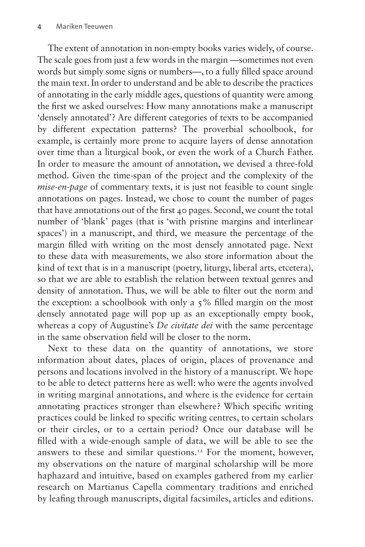The extent of annotation in non-empty books varies widely, of course. The scale goes from just a few words in the margin —sometimes not even words but simply some signs or numbers—, to a fully filled space around the main text. In order to understand and be able to describe the practices of annotating in the early middle ages, questions of quantity were among the first we asked ourselves: How many annotations make a manuscript 'densely annotated'? Are different categories of texts to be accompanied by different expectation patterns? The proverbial schoolbook, for example, is certainly more prone to acquire layers of dense annotation over time than a liturgical book, or even the work of a Church Father. In order to measure the amount of annotation, we devised a three-fold method. Given the time-span of the project and the complexity of the *mise-en-page* of commentary texts, it is just not feasible to count single annotations on pages. Instead, we chose to count the number of pages that have annotations out of the first 40 pages. Second, we count the total number of 'blank' pages (that is 'with pristine margins and interlinear spaces') in a manuscript, and third, we measure the percentage of the margin filled with writing on the most densely annotated page. Next to these data with measurements, we also store information about the kind of text that is in a manuscript (poetry, liturgy, liberal arts, etcetera), so that we are able to establish the relation between textual genres and density of annotation. Thus, we will be able to filter out the norm and the exception: a schoolbook with only a  $5\%$  filled margin on the most densely annotated page will pop up as an exceptionally empty book, whereas a copy of Augustine's *De civitate dei* with the same percentage in the same observation field will be closer to the norm.

Next to these data on the quantity of annotations, we store information about dates, places of origin, places of provenance and persons and locations involved in the history of a manuscript. We hope to be able to detect patterns here as well: who were the agents involved in writing marginal annotations, and where is the evidence for certain annotating practices stronger than elsewhere? Which specific writing practices could be linked to specific writing centres, to certain scholars or their circles, or to a certain period? Once our database will be filled with a wide-enough sample of data, we will be able to see the answers to these and similar questions.<sup>[12](#page-16-9)</sup> For the moment, however, my observations on the nature of marginal scholarship will be more haphazard and intuitive, based on examples gathered from my earlier research on Martianus Capella commentary traditions and enriched by leafing through manuscripts, digital facsimiles, articles and editions.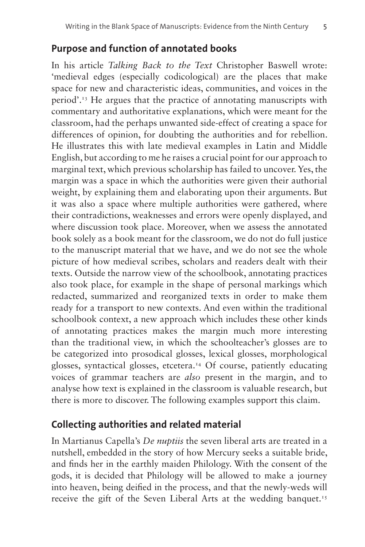#### **Purpose and function of annotated books**

In his article *Talking Back to the Text* Christopher Baswell wrote: 'medieval edges (especially codicological) are the places that make space for new and characteristic ideas, communities, and voices in the period'[.13](#page-17-0) He argues that the practice of annotating manuscripts with commentary and authoritative explanations, which were meant for the classroom, had the perhaps unwanted side-effect of creating a space for differences of opinion, for doubting the authorities and for rebellion. He illustrates this with late medieval examples in Latin and Middle English, but according to me he raises a crucial point for our approach to marginal text, which previous scholarship has failed to uncover. Yes, the margin was a space in which the authorities were given their authorial weight, by explaining them and elaborating upon their arguments. But it was also a space where multiple authorities were gathered, where their contradictions, weaknesses and errors were openly displayed, and where discussion took place. Moreover, when we assess the annotated book solely as a book meant for the classroom, we do not do full justice to the manuscript material that we have, and we do not see the whole picture of how medieval scribes, scholars and readers dealt with their texts. Outside the narrow view of the schoolbook, annotating practices also took place, for example in the shape of personal markings which redacted, summarized and reorganized texts in order to make them ready for a transport to new contexts. And even within the traditional schoolbook context, a new approach which includes these other kinds of annotating practices makes the margin much more interesting than the traditional view, in which the schoolteacher's glosses are to be categorized into prosodical glosses, lexical glosses, morphological glosses, syntactical glosses, etcetera.[14](#page-17-1) Of course, patiently educating voices of grammar teachers are *also* present in the margin, and to analyse how text is explained in the classroom is valuable research, but there is more to discover. The following examples support this claim.

#### **Collecting authorities and related material**

In Martianus Capella's *De nuptiis* the seven liberal arts are treated in a nutshell, embedded in the story of how Mercury seeks a suitable bride, and finds her in the earthly maiden Philology. With the consent of the gods, it is decided that Philology will be allowed to make a journey into heaven, being deified in the process, and that the newly-weds will receive the gift of the Seven Liberal Arts at the wedding banquet.<sup>[15](#page-17-2)</sup>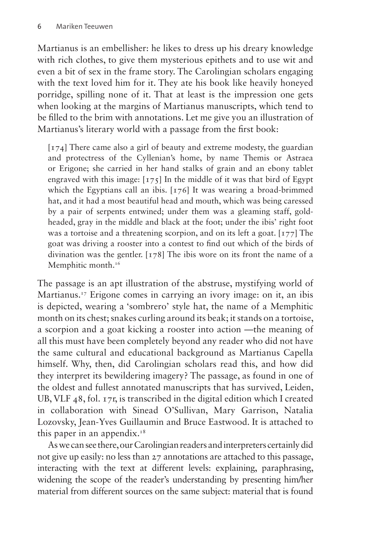Martianus is an embellisher: he likes to dress up his dreary knowledge with rich clothes, to give them mysterious epithets and to use wit and even a bit of sex in the frame story. The Carolingian scholars engaging with the text loved him for it. They ate his book like heavily honeyed porridge, spilling none of it. That at least is the impression one gets when looking at the margins of Martianus manuscripts, which tend to be filled to the brim with annotations. Let me give you an illustration of Martianus's literary world with a passage from the first book:

[174] There came also a girl of beauty and extreme modesty, the guardian and protectress of the Cyllenian's home, by name Themis or Astraea or Erigone; she carried in her hand stalks of grain and an ebony tablet engraved with this image:  $[175]$  In the middle of it was that bird of Egypt which the Egyptians call an ibis.  $[176]$  It was wearing a broad-brimmed hat, and it had a most beautiful head and mouth, which was being caressed by a pair of serpents entwined; under them was a gleaming staff, goldheaded, gray in the middle and black at the foot; under the ibis' right foot was a tortoise and a threatening scorpion, and on its left a goat. [177] The goat was driving a rooster into a contest to find out which of the birds of divination was the gentler. [178] The ibis wore on its front the name of a Memphitic month.<sup>16</sup>

The passage is an apt illustration of the abstruse, mystifying world of Martianus.<sup>[17](#page-17-4)</sup> Erigone comes in carrying an ivory image: on it, an ibis is depicted, wearing a 'sombrero' style hat, the name of a Memphitic month on its chest; snakes curling around its beak; it stands on a tortoise, a scorpion and a goat kicking a rooster into action —the meaning of all this must have been completely beyond any reader who did not have the same cultural and educational background as Martianus Capella himself. Why, then, did Carolingian scholars read this, and how did they interpret its bewildering imagery? The passage, as found in one of the oldest and fullest annotated manuscripts that has survived, Leiden, UB, VLF 48, fol. 17r, is transcribed in the digital edition which I created in collaboration with Sinead O'Sullivan, Mary Garrison, Natalia Lozovsky, Jean-Yves Guillaumin and Bruce Eastwood. It is attached to this paper in an appendix. $18$ 

As we can see there, our Carolingian readers and interpreters certainly did not give up easily: no less than 27 annotations are attached to this passage, interacting with the text at different levels: explaining, paraphrasing, widening the scope of the reader's understanding by presenting him/her material from different sources on the same subject: material that is found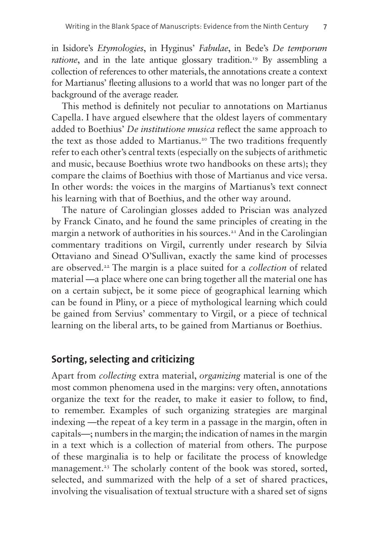in Isidore's *Etymologies*, in Hyginus' *Fabulae*, in Bede's *De temporum ratione*, and in the late antique glossary tradition.<sup>19</sup> By assembling a collection of references to other materials, the annotations create a context for Martianus' fleeting allusions to a world that was no longer part of the background of the average reader.

This method is definitely not peculiar to annotations on Martianus Capella. I have argued elsewhere that the oldest layers of commentary added to Boethius' *De institutione musica* reflect the same approach to the text as those added to Martianus.<sup>20</sup> The two traditions frequently refer to each other's central texts (especially on the subjects of arithmetic and music, because Boethius wrote two handbooks on these arts); they compare the claims of Boethius with those of Martianus and vice versa. In other words: the voices in the margins of Martianus's text connect his learning with that of Boethius, and the other way around.

The nature of Carolingian glosses added to Priscian was analyzed by Franck Cinato, and he found the same principles of creating in the margin a network of authorities in his sources.<sup>21</sup> And in the Carolingian commentary traditions on Virgil, currently under research by Silvia Ottaviano and Sinead O'Sullivan, exactly the same kind of processes are observed.[22](#page-18-3) The margin is a place suited for a *collection* of related material —a place where one can bring together all the material one has on a certain subject, be it some piece of geographical learning which can be found in Pliny, or a piece of mythological learning which could be gained from Servius' commentary to Virgil, or a piece of technical learning on the liberal arts, to be gained from Martianus or Boethius.

#### **Sorting, selecting and criticizing**

Apart from *collecting* extra material, *organizing* material is one of the most common phenomena used in the margins: very often, annotations organize the text for the reader, to make it easier to follow, to find, to remember. Examples of such organizing strategies are marginal indexing —the repeat of a key term in a passage in the margin, often in capitals—; numbers in the margin; the indication of names in the margin in a text which is a collection of material from others. The purpose of these marginalia is to help or facilitate the process of knowledge management.<sup>[23](#page-18-4)</sup> The scholarly content of the book was stored, sorted, selected, and summarized with the help of a set of shared practices, involving the visualisation of textual structure with a shared set of signs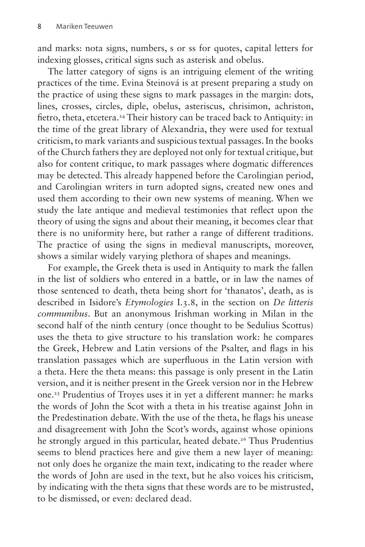and marks: nota signs, numbers, s or ss for quotes, capital letters for indexing glosses, critical signs such as asterisk and obelus.

The latter category of signs is an intriguing element of the writing practices of the time. Evina Steinová is at present preparing a study on the practice of using these signs to mark passages in the margin: dots, lines, crosses, circles, diple, obelus, asteriscus, chrisimon, achriston, fietro, theta, etcetera.<sup>24</sup> Their history can be traced back to Antiquity: in the time of the great library of Alexandria, they were used for textual criticism, to mark variants and suspicious textual passages. In the books of the Church fathers they are deployed not only for textual critique, but also for content critique, to mark passages where dogmatic differences may be detected. This already happened before the Carolingian period, and Carolingian writers in turn adopted signs, created new ones and used them according to their own new systems of meaning. When we study the late antique and medieval testimonies that reflect upon the theory of using the signs and about their meaning, it becomes clear that there is no uniformity here, but rather a range of different traditions. The practice of using the signs in medieval manuscripts, moreover, shows a similar widely varying plethora of shapes and meanings.

For example, the Greek theta is used in Antiquity to mark the fallen in the list of soldiers who entered in a battle, or in law the names of those sentenced to death, theta being short for 'thanatos', death, as is described in Isidore's *Etymologies* I.3.8, in the section on *De litteris communibus*. But an anonymous Irishman working in Milan in the second half of the ninth century (once thought to be Sedulius Scottus) uses the theta to give structure to his translation work: he compares the Greek, Hebrew and Latin versions of the Psalter, and flags in his translation passages which are superfluous in the Latin version with a theta. Here the theta means: this passage is only present in the Latin version, and it is neither present in the Greek version nor in the Hebrew one.[25](#page-18-6) Prudentius of Troyes uses it in yet a different manner: he marks the words of John the Scot with a theta in his treatise against John in the Predestination debate. With the use of the theta, he flags his unease and disagreement with John the Scot's words, against whose opinions he strongly argued in this particular, heated debate.<sup>26</sup> Thus Prudentius seems to blend practices here and give them a new layer of meaning: not only does he organize the main text, indicating to the reader where the words of John are used in the text, but he also voices his criticism, by indicating with the theta signs that these words are to be mistrusted, to be dismissed, or even: declared dead.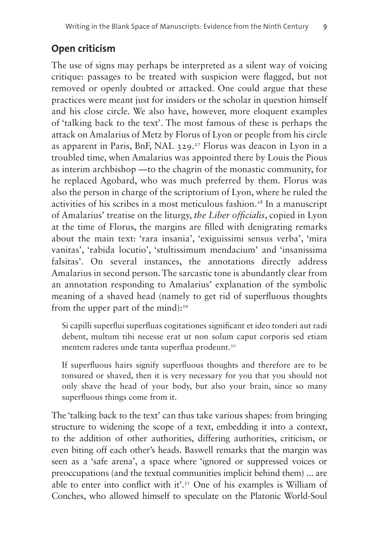### **Open criticism**

The use of signs may perhaps be interpreted as a silent way of voicing critique: passages to be treated with suspicion were flagged, but not removed or openly doubted or attacked. One could argue that these practices were meant just for insiders or the scholar in question himself and his close circle. We also have, however, more eloquent examples of 'talking back to the text'. The most famous of these is perhaps the attack on Amalarius of Metz by Florus of Lyon or people from his circle as apparent in Paris, BnF, NAL 329.[27](#page-18-8) Florus was deacon in Lyon in a troubled time, when Amalarius was appointed there by Louis the Pious as interim archbishop —to the chagrin of the monastic community, for he replaced Agobard, who was much preferred by them. Florus was also the person in charge of the scriptorium of Lyon, where he ruled the activities of his scribes in a most meticulous fashion.<sup>28</sup> In a manuscript of Amalarius' treatise on the liturgy, *the Liber officialis*, copied in Lyon at the time of Florus, the margins are filled with denigrating remarks about the main text: 'rara insania', 'exiguissimi sensus verba', 'mira vanitas', 'rabida locutio', 'stultissimum mendacium' and 'insanissima falsitas'. On several instances, the annotations directly address Amalarius in second person. The sarcastic tone is abundantly clear from an annotation responding to Amalarius' explanation of the symbolic meaning of a shaved head (namely to get rid of superfluous thoughts from the upper part of the mind): $29$ 

Si capilli superflui superfluas cogitationes significant et ideo tonderi aut radi debent, multum tibi necesse erat ut non solum caput corporis sed etiam mentem raderes unde tanta superflua prodeunt.[30](#page-19-2)

If superfluous hairs signify superfluous thoughts and therefore are to be tonsured or shaved, then it is very necessary for you that you should not only shave the head of your body, but also your brain, since so many superfluous things come from it.

The 'talking back to the text' can thus take various shapes: from bringing structure to widening the scope of a text, embedding it into a context, to the addition of other authorities, differing authorities, criticism, or even biting off each other's heads. Baswell remarks that the margin was seen as a 'safe arena', a space where 'ignored or suppressed voices or preoccupations (and the textual communities implicit behind them) ... are able to enter into conflict with it'[.31](#page-19-3) One of his examples is William of Conches, who allowed himself to speculate on the Platonic World-Soul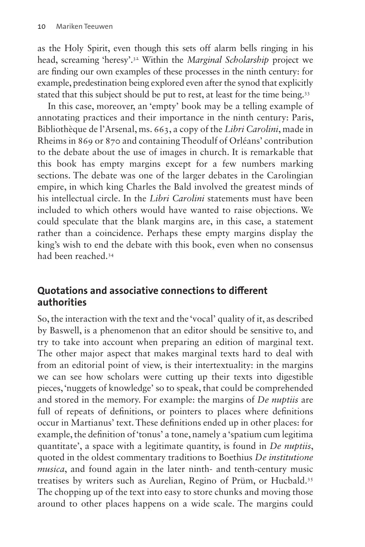as the Holy Spirit, even though this sets off alarm bells ringing in his head, screaming 'heresy'[.32](#page-19-4) Within the *Marginal Scholarship* project we are finding our own examples of these processes in the ninth century: for example, predestination being explored even after the synod that explicitly stated that this subject should be put to rest, at least for the time being.<sup>33</sup>

In this case, moreover, an 'empty' book may be a telling example of annotating practices and their importance in the ninth century: Paris, Bibliothèque de l'Arsenal, ms. 663, a copy of the *Libri Carolini*, made in Rheims in 869 or 870 and containing Theodulf of Orléans' contribution to the debate about the use of images in church. It is remarkable that this book has empty margins except for a few numbers marking sections. The debate was one of the larger debates in the Carolingian empire, in which king Charles the Bald involved the greatest minds of his intellectual circle. In the *Libri Carolini* statements must have been included to which others would have wanted to raise objections. We could speculate that the blank margins are, in this case, a statement rather than a coincidence. Perhaps these empty margins display the king's wish to end the debate with this book, even when no consensus had been reached.[34](#page-19-6)

### **Quotations and associative connections to different authorities**

So, the interaction with the text and the 'vocal' quality of it, as described by Baswell, is a phenomenon that an editor should be sensitive to, and try to take into account when preparing an edition of marginal text. The other major aspect that makes marginal texts hard to deal with from an editorial point of view, is their intertextuality: in the margins we can see how scholars were cutting up their texts into digestible pieces, 'nuggets of knowledge' so to speak, that could be comprehended and stored in the memory. For example: the margins of *De nuptiis* are full of repeats of definitions, or pointers to places where definitions occur in Martianus' text. These definitions ended up in other places: for example, the definition of 'tonus' a tone, namely a 'spatium cum legitima quantitate', a space with a legitimate quantity, is found in *De nuptiis*, quoted in the oldest commentary traditions to Boethius *De institutione musica*, and found again in the later ninth- and tenth-century music treatises by writers such as Aurelian, Regino of Prüm, or Hucbald.<sup>[35](#page-19-7)</sup> The chopping up of the text into easy to store chunks and moving those around to other places happens on a wide scale. The margins could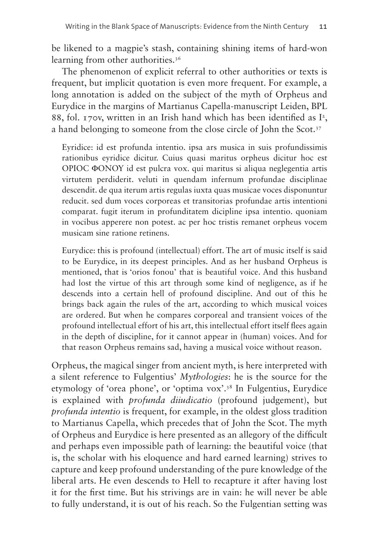be likened to a magpie's stash, containing shining items of hard-won learning from other authorities.<sup>36</sup>

The phenomenon of explicit referral to other authorities or texts is frequent, but implicit quotation is even more frequent. For example, a long annotation is added on the subject of the myth of Orpheus and Eurydice in the margins of Martianus Capella-manuscript Leiden, BPL 88, fol. 170v, written in an Irish hand which has been identified as  $I^2$ , a hand belonging to someone from the close circle of John the Scot.[37](#page-20-0)

Eyridice: id est profunda intentio. ipsa ars musica in suis profundissimis rationibus eyridice dicitur. Cuius quasi maritus orpheus dicitur hoc est OPIOC ΦONOY id est pulcra vox. qui maritus si aliqua neglegentia artis virtutem perdiderit. veluti in quendam infernum profundae disciplinae descendit. de qua iterum artis regulas iuxta quas musicae voces disponuntur reducit. sed dum voces corporeas et transitorias profundae artis intentioni comparat. fugit iterum in profunditatem dicipline ipsa intentio. quoniam in vocibus apperere non potest. ac per hoc tristis remanet orpheus vocem musicam sine ratione retinens.

Eurydice: this is profound (intellectual) effort. The art of music itself is said to be Eurydice, in its deepest principles. And as her husband Orpheus is mentioned, that is 'orios fonou' that is beautiful voice. And this husband had lost the virtue of this art through some kind of negligence, as if he descends into a certain hell of profound discipline. And out of this he brings back again the rules of the art, according to which musical voices are ordered. But when he compares corporeal and transient voices of the profound intellectual effort of his art, this intellectual effort itself flees again in the depth of discipline, for it cannot appear in (human) voices. And for that reason Orpheus remains sad, having a musical voice without reason.

Orpheus, the magical singer from ancient myth, is here interpreted with a silent reference to Fulgentius' *Mythologies*: he is the source for the etymology of 'orea phone', or 'optima vox'[.38](#page-20-1) In Fulgentius, Eurydice is explained with *profunda diiudicatio* (profound judgement), but *profunda intentio* is frequent, for example, in the oldest gloss tradition to Martianus Capella, which precedes that of John the Scot. The myth of Orpheus and Eurydice is here presented as an allegory of the difficult and perhaps even impossible path of learning: the beautiful voice (that is, the scholar with his eloquence and hard earned learning) strives to capture and keep profound understanding of the pure knowledge of the liberal arts. He even descends to Hell to recapture it after having lost it for the first time. But his strivings are in vain: he will never be able to fully understand, it is out of his reach. So the Fulgentian setting was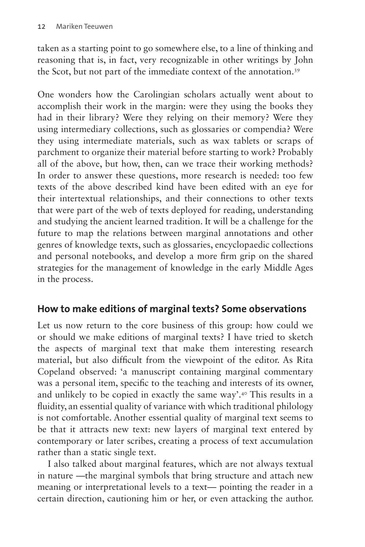taken as a starting point to go somewhere else, to a line of thinking and reasoning that is, in fact, very recognizable in other writings by John the Scot, but not part of the immediate context of the annotation.<sup>[39](#page-20-2)</sup>

One wonders how the Carolingian scholars actually went about to accomplish their work in the margin: were they using the books they had in their library? Were they relying on their memory? Were they using intermediary collections, such as glossaries or compendia? Were they using intermediate materials, such as wax tablets or scraps of parchment to organize their material before starting to work? Probably all of the above, but how, then, can we trace their working methods? In order to answer these questions, more research is needed: too few texts of the above described kind have been edited with an eye for their intertextual relationships, and their connections to other texts that were part of the web of texts deployed for reading, understanding and studying the ancient learned tradition. It will be a challenge for the future to map the relations between marginal annotations and other genres of knowledge texts, such as glossaries, encyclopaedic collections and personal notebooks, and develop a more firm grip on the shared strategies for the management of knowledge in the early Middle Ages in the process.

#### **How to make editions of marginal texts? Some observations**

Let us now return to the core business of this group: how could we or should we make editions of marginal texts? I have tried to sketch the aspects of marginal text that make them interesting research material, but also difficult from the viewpoint of the editor. As Rita Copeland observed: 'a manuscript containing marginal commentary was a personal item, specific to the teaching and interests of its owner, and unlikely to be copied in exactly the same way'.[40](#page-20-3) This results in a fluidity, an essential quality of variance with which traditional philology is not comfortable. Another essential quality of marginal text seems to be that it attracts new text: new layers of marginal text entered by contemporary or later scribes, creating a process of text accumulation rather than a static single text.

I also talked about marginal features, which are not always textual in nature —the marginal symbols that bring structure and attach new meaning or interpretational levels to a text— pointing the reader in a certain direction, cautioning him or her, or even attacking the author.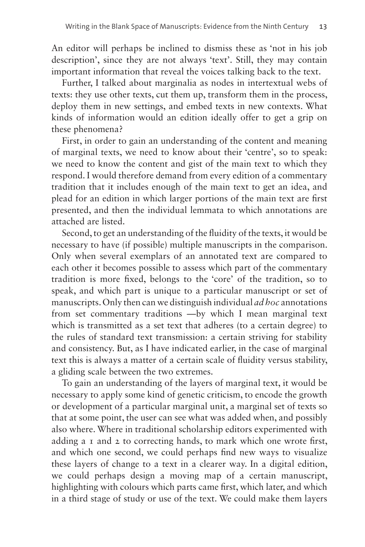An editor will perhaps be inclined to dismiss these as 'not in his job description', since they are not always 'text'. Still, they may contain important information that reveal the voices talking back to the text.

Further, I talked about marginalia as nodes in intertextual webs of texts: they use other texts, cut them up, transform them in the process, deploy them in new settings, and embed texts in new contexts. What kinds of information would an edition ideally offer to get a grip on these phenomena?

First, in order to gain an understanding of the content and meaning of marginal texts, we need to know about their 'centre', so to speak: we need to know the content and gist of the main text to which they respond. I would therefore demand from every edition of a commentary tradition that it includes enough of the main text to get an idea, and plead for an edition in which larger portions of the main text are first presented, and then the individual lemmata to which annotations are attached are listed.

Second, to get an understanding of the fluidity of the texts, it would be necessary to have (if possible) multiple manuscripts in the comparison. Only when several exemplars of an annotated text are compared to each other it becomes possible to assess which part of the commentary tradition is more fixed, belongs to the 'core' of the tradition, so to speak, and which part is unique to a particular manuscript or set of manuscripts. Only then can we distinguish individual *ad hoc* annotations from set commentary traditions —by which I mean marginal text which is transmitted as a set text that adheres (to a certain degree) to the rules of standard text transmission: a certain striving for stability and consistency. But, as I have indicated earlier, in the case of marginal text this is always a matter of a certain scale of fluidity versus stability, a gliding scale between the two extremes.

To gain an understanding of the layers of marginal text, it would be necessary to apply some kind of genetic criticism, to encode the growth or development of a particular marginal unit, a marginal set of texts so that at some point, the user can see what was added when, and possibly also where. Where in traditional scholarship editors experimented with adding a 1 and 2 to correcting hands, to mark which one wrote first, and which one second, we could perhaps find new ways to visualize these layers of change to a text in a clearer way. In a digital edition, we could perhaps design a moving map of a certain manuscript, highlighting with colours which parts came first, which later, and which in a third stage of study or use of the text. We could make them layers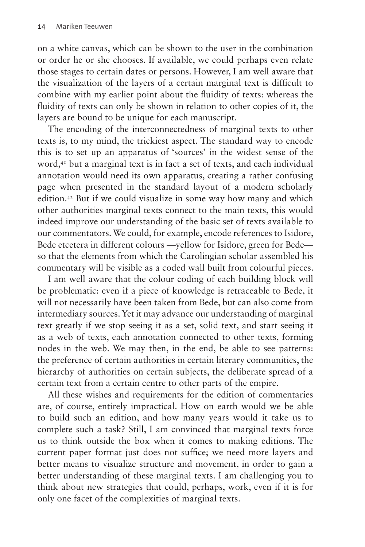on a white canvas, which can be shown to the user in the combination or order he or she chooses. If available, we could perhaps even relate those stages to certain dates or persons. However, I am well aware that the visualization of the layers of a certain marginal text is difficult to combine with my earlier point about the fluidity of texts: whereas the fluidity of texts can only be shown in relation to other copies of it, the layers are bound to be unique for each manuscript.

The encoding of the interconnectedness of marginal texts to other texts is, to my mind, the trickiest aspect. The standard way to encode this is to set up an apparatus of 'sources' in the widest sense of the word,<sup>41</sup> but a marginal text is in fact a set of texts, and each individual annotation would need its own apparatus, creating a rather confusing page when presented in the standard layout of a modern scholarly edition[.42](#page-20-5) But if we could visualize in some way how many and which other authorities marginal texts connect to the main texts, this would indeed improve our understanding of the basic set of texts available to our commentators. We could, for example, encode references to Isidore, Bede etcetera in different colours —yellow for Isidore, green for Bede so that the elements from which the Carolingian scholar assembled his commentary will be visible as a coded wall built from colourful pieces.

I am well aware that the colour coding of each building block will be problematic: even if a piece of knowledge is retraceable to Bede, it will not necessarily have been taken from Bede, but can also come from intermediary sources. Yet it may advance our understanding of marginal text greatly if we stop seeing it as a set, solid text, and start seeing it as a web of texts, each annotation connected to other texts, forming nodes in the web. We may then, in the end, be able to see patterns: the preference of certain authorities in certain literary communities, the hierarchy of authorities on certain subjects, the deliberate spread of a certain text from a certain centre to other parts of the empire.

All these wishes and requirements for the edition of commentaries are, of course, entirely impractical. How on earth would we be able to build such an edition, and how many years would it take us to complete such a task? Still, I am convinced that marginal texts force us to think outside the box when it comes to making editions. The current paper format just does not suffice; we need more layers and better means to visualize structure and movement, in order to gain a better understanding of these marginal texts. I am challenging you to think about new strategies that could, perhaps, work, even if it is for only one facet of the complexities of marginal texts.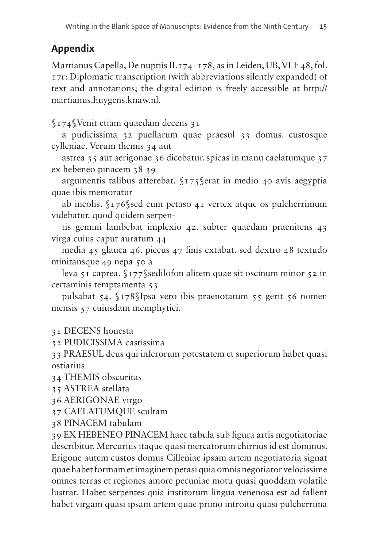# **Appendix**

Martianus Capella, De nuptiis II.174–178, as in Leiden, UB, VLF 48, fol. 17r: Diplomatic transcription (with abbreviations silently expanded) of text and annotations; the digital edition is freely accessible at [http://](http://martianus.huygens.knaw.nl) [martianus.huygens.knaw.nl](http://martianus.huygens.knaw.nl).

§174§Venit etiam quaedam decens 31

a pudicissima 32 puellarum quae praesul 33 domus. custosque cylleniae. Verum themis 34 aut

astrea 35 aut aerigonae 36 dicebatur. spicas in manu caelatumque 37 ex hebeneo pinacem 38 39

argumentis talibus afferebat. §175§erat in medio 40 avis aegyptia quae ibis memoratur

ab incolis. §176§sed cum petaso 41 vertex atque os pulcherrimum videbatur. quod quidem serpen-

tis gemini lambebat implexio 42. subter quaedam praenitens 43 virga cuius caput auratum 44

media 45 glauca 46. piceus 47 finis extabat. sed dextro 48 textudo minitansque 49 nepa 50 a

leva 51 caprea. §177§sedilofon alitem quae sit oscinum mitior 52 in certaminis temptamenta 53

pulsabat 54. §178§Ipsa vero ibis praenotatum 55 gerit 56 nomen mensis 57 cuiusdam memphytici.

31 DECENS honesta

32 PUDICISSIMA castissima

33 PRAESUL deus qui inferorum potestatem et superiorum habet quasi ostiarius

34 THEMIS obscuritas

35 ASTREA stellata

36 AERIGONAE virgo

37 CAELATUMQUE scultam

38 PINACEM tabulam

39 EX HEBENEO PINACEM haec tabula sub figura artis negotiatoriae describitur. Mercurius itaque quasi mercatorum chirrius id est dominus. Erigone autem custos domus Cilleniae ipsam artem negotiatoria signat quae habet formam et imaginem petasi quia omnis negotiator velocissime omnes terras et regiones amore pecuniae motu quasi quoddam volatile lustrat. Habet serpentes quia institorum lingua venenosa est ad fallent habet virgam quasi ipsam artem quae primo introitu quasi pulcherrima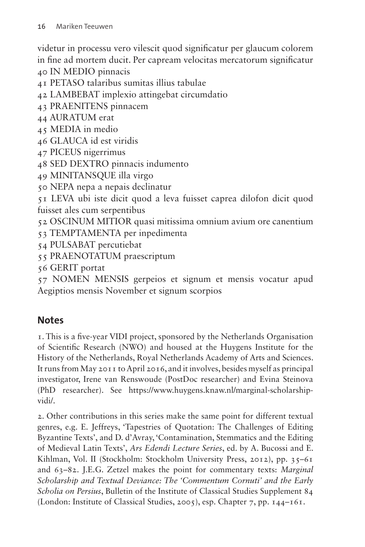videtur in processu vero vilescit quod significatur per glaucum colorem in fine ad mortem ducit. Per capream velocitas mercatorum significatur

40 IN MEDIO pinnacis

41 PETASO talaribus sumitas illius tabulae

42 LAMBEBAT implexio attingebat circumdatio

43 PRAENITENS pinnacem

44 AURATUM erat

45 MEDIA in medio

46 GLAUCA id est viridis

47 PICEUS nigerrimus

48 SED DEXTRO pinnacis indumento

49 MINITANSQUE illa virgo

50 NEPA nepa a nepais declinatur

51 LEVA ubi iste dicit quod a leva fuisset caprea dilofon dicit quod fuisset ales cum serpentibus

52 OSCINUM MITIOR quasi mitissima omnium avium ore canentium

53 TEMPTAMENTA per inpedimenta

54 PULSABAT percutiebat

55 PRAENOTATUM praescriptum

56 GERIT portat

57 NOMEN MENSIS gerpeios et signum et mensis vocatur apud Aegiptios mensis November et signum scorpios

# **Notes**

<span id="page-15-0"></span>1. This is a five-year VIDI project, sponsored by the Netherlands Organisation of Scientific Research (NWO) and housed at the Huygens Institute for the History of the Netherlands, Royal Netherlands Academy of Arts and Sciences. It runs from May 2011 to April 2016, and it involves, besides myself as principal investigator, Irene van Renswoude (PostDoc researcher) and Evina Steinova (PhD researcher). See [https://www.huygens.knaw.nl/marginal-scholarship](https://www.huygens.knaw.nl/marginal-scholarship-vidi/)[vidi/](https://www.huygens.knaw.nl/marginal-scholarship-vidi/).

<span id="page-15-1"></span>2. Other contributions in this series make the same point for different textual genres, e.g. E. Jeffreys, 'Tapestries of Quotation: The Challenges of Editing Byzantine Texts', and D. d'Avray, 'Contamination, Stemmatics and the Editing of Medieval Latin Texts', *Ars Edendi Lecture Series*, ed. by A. Bucossi and E. Kihlman, Vol. II (Stockholm: Stockholm University Press, 2012), pp. 35–61 and 63–82. J.E.G. Zetzel makes the point for commentary texts: *Marginal Scholarship and Textual Deviance: The 'Commentum Cornuti' and the Early Scholia on Persius*, Bulletin of the Institute of Classical Studies Supplement 84 (London: Institute of Classical Studies, 2005), esp. Chapter 7, pp. 144–161.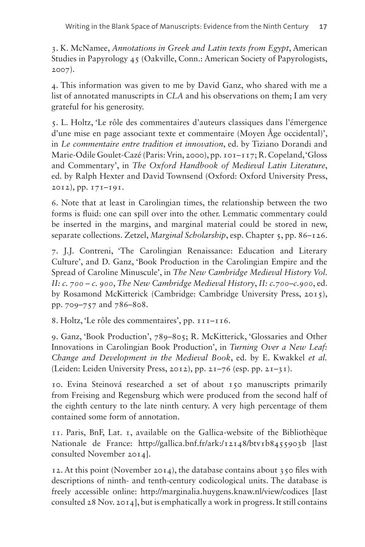<span id="page-16-0"></span>3. K. McNamee, *Annotations in Greek and Latin texts from Egypt*, American Studies in Papyrology 45 (Oakville, Conn.: American Society of Papyrologists, 2007).

<span id="page-16-1"></span>4. This information was given to me by David Ganz, who shared with me a list of annotated manuscripts in *CLA* and his observations on them; I am very grateful for his generosity.

<span id="page-16-2"></span>5. L. Holtz, 'Le rôle des commentaires d'auteurs classiques dans l'émergence d'une mise en page associant texte et commentaire (Moyen Âge occidental)', in *Le commentaire entre tradition et innovation*, ed. by Tiziano Dorandi and Marie-Odile Goulet-Cazé (Paris: Vrin, 2000), pp. 101–117; R. Copeland, 'Gloss and Commentary', in *The Oxford Handbook of Medieval Latin Literature*, ed. by Ralph Hexter and David Townsend (Oxford: Oxford University Press, 2012), pp. 171–191.

<span id="page-16-3"></span>6. Note that at least in Carolingian times, the relationship between the two forms is fluid: one can spill over into the other. Lemmatic commentary could be inserted in the margins, and marginal material could be stored in new, separate collections. Zetzel, *Marginal Scholarship*, esp. Chapter 5, pp. 86–126.

<span id="page-16-4"></span>7. J.J. Contreni, 'The Carolingian Renaissance: Education and Literary Culture', and D. Ganz, 'Book Production in the Carolingian Empire and the Spread of Caroline Minuscule', in *The New Cambridge Medieval History Vol. II: c. 700 – c. 900*, *The New Cambridge Medieval History*, *II: c.700–c.900*, ed. by [Rosamond McKitterick](http://universitypublishingonline.org/cambridge/histories/author.jsf;jsessionid=9E968723A7B403A425196A58032DEFCF?name=Rosamond+McKitterick) (Cambridge: Cambridge University Press, 2015), pp. 709–757 and 786–808.

<span id="page-16-5"></span>8. Holtz, 'Le rôle des commentaires', pp. 111–116.

<span id="page-16-6"></span>9. Ganz, 'Book Production', 789–805; R. McKitterick, 'Glossaries and Other Innovations in Carolingian Book Production', in *Turning Over a New Leaf: Change and Development in the Medieval Book*, ed. by E. Kwakkel *et al.* (Leiden: Leiden University Press, 2012), pp. 21–76 (esp. pp. 21–31).

<span id="page-16-7"></span>10. Evina Steinová researched a set of about 150 manuscripts primarily from Freising and Regensburg which were produced from the second half of the eighth century to the late ninth century. A very high percentage of them contained some form of annotation.

<span id="page-16-8"></span>11. Paris, BnF, Lat. 1, available on the Gallica-website of the Bibliothèque Nationale de France: <http://gallica.bnf.fr/ark:/12148/btv1b8455903b>[last consulted November 2014].

<span id="page-16-9"></span>12. At this point (November 2014), the database contains about 350 files with descriptions of ninth- and tenth-century codicological units. The database is freely accessible online: <http://marginalia.huygens.knaw.nl/view/codices> [last consulted 28 Nov. 2014], but is emphatically a work in progress. It still contains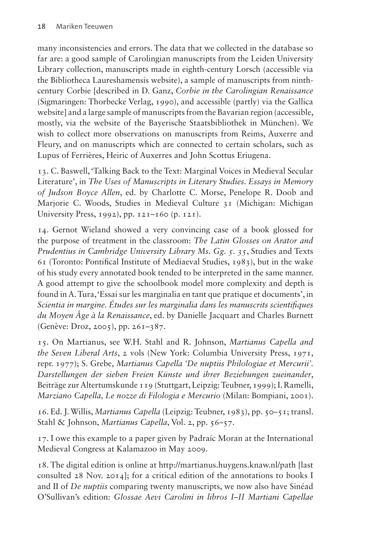many inconsistencies and errors. The data that we collected in the database so far are: a good sample of Carolingian manuscripts from the Leiden University Library collection, manuscripts made in eighth-century Lorsch (accessible via the Bibliotheca Laureshamensis website), a sample of manuscripts from ninthcentury Corbie [described in D. Ganz, *Corbie in the Carolingian Renaissance* (Sigmaringen: Thorbecke Verlag, 1990), and accessible (partly) via the Gallica website] and a large sample of manuscripts from the Bavarian region (accessible, mostly, via the website of the Bayerische Staatsbibliothek in München). We wish to collect more observations on manuscripts from Reims, Auxerre and Fleury, and on manuscripts which are connected to certain scholars, such as Lupus of Ferrières, Heiric of Auxerres and John Scottus Eriugena.

<span id="page-17-0"></span>13. C. Baswell, 'Talking Back to the Text: Marginal Voices in Medieval Secular Literature', in *The Uses of Manuscripts in Literary Studies. Essays in Memory of Judson Boyce Allen*, ed. by Charlotte C. Morse, Penelope R. Doob and Marjorie C. Woods, Studies in Medieval Culture 31 (Michigan: Michigan University Press, 1992), pp. 121–160 (p. 121).

<span id="page-17-1"></span>14. Gernot Wieland showed a very convincing case of a book glossed for the purpose of treatment in the classroom: *The Latin Glosses on Arator and Prudentius in Cambridge University Library Ms. Gg. 5. 35*, Studies and Texts 61 (Toronto: Pontifical Institute of Mediaeval Studies, 1983), but in the wake of his study every annotated book tended to be interpreted in the same manner. A good attempt to give the schoolbook model more complexity and depth is found in A. Tura, 'Essai sur les marginalia en tant que pratique et documents', in *Scientia in margine. Études sur les marginalia dans les manuscrits scientifiques du Moyen Âge à la Renaissance*, ed. by Danielle Jacquart and Charles Burnett (Genève: Droz, 2005), pp. 261–387.

<span id="page-17-2"></span>15. On Martianus, see W.H. Stahl and R. Johnson, *Martianus Capella and the Seven Liberal Arts*, 2 vols (New York: Columbia University Press, 1971, repr. 1977); S. Grebe, *Martianus Capella 'De nuptiis Philologiae et Mercurii'. Darstellungen der sieben Freien Künste und ihrer Beziehungen zueinander*, Beiträge zur Altertumskunde 119 (Stuttgart, Leipzig: Teubner, 1999); I. Ramelli, *Marziano Capella, Le nozze di Filologia e Mercurio* (Milan: Bompiani, 2001).

<span id="page-17-3"></span>16. Ed. J. Willis, *Martianus Capella* (Leipzig: Teubner, 1983), pp. 50–51; transl. Stahl & Johnson, *Martianus Capella*, Vol. 2, pp. 56–57.

<span id="page-17-4"></span>17. I owe this example to a paper given by Padraíc Moran at the International Medieval Congress at Kalamazoo in May 2009.

<span id="page-17-5"></span>18. The digital edition is online at <http://martianus.huygens.knaw.nl/path>[last consulted 28 Nov. 2014]; for a critical edition of the annotations to books I and II of *De nuptiis* comparing twenty manuscripts, we now also have Sinéad O'Sullivan's edition: *Glossae Aevi Carolini in libros I–II Martiani Capellae*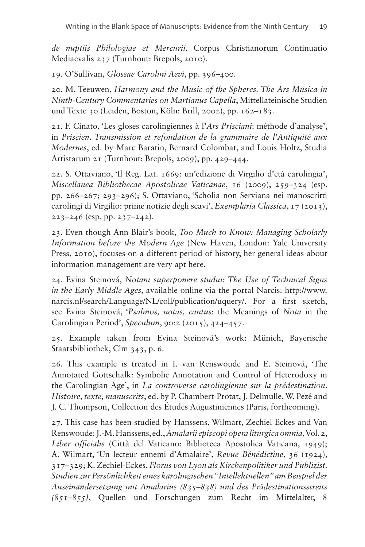*de nuptiis Philologiae et Mercurii*, Corpus Christianorum Continuatio Mediaevalis 237 (Turnhout: Brepols, 2010).

<span id="page-18-0"></span>19. O'Sullivan, *Glossae Carolini Aevi*, pp. 396–400.

<span id="page-18-1"></span>20. M. Teeuwen, *Harmony and the Music of the Spheres. The Ars Musica in Ninth-Century Commentaries on Martianus Capella*, Mittellateinische Studien und Texte 30 (Leiden, Boston, Köln: Brill, 2002), pp. 162–183.

<span id="page-18-2"></span>21. F. Cinato, 'Les gloses carolingiennes à l'*Ars Prisciani*: méthode d'analyse', in *Priscien. Transmission et refondation de la grammaire de l'Antiquité aux Modernes*, ed. by Marc Baratin, Bernard Colombat, and Louis Holtz, Studia Artistarum 21 (Turnhout: Brepols, 2009), pp. 429–444.

<span id="page-18-3"></span>22. S. Ottaviano, 'Il Reg. Lat. 1669: un'edizione di Virgilio d'età carolingia', *Miscellanea Bibliothecae Apostolicae Vaticanae*, 16 (2009), 259–324 (esp. pp. 266–267; 293–296); S. Ottaviano, 'Scholia non Serviana nei manoscritti carolingi di Virgilio: prime notizie degli scavi', *Exemplaria Classica*, 17 (2013), 223–246 (esp. pp. 237–242).

<span id="page-18-4"></span>23. Even though Ann Blair's book, *Too Much to Know: Managing Scholarly Information before the Modern Age* (New Haven, London: Yale University Press, 2010), focuses on a different period of history, her general ideas about information management are very apt here.

<span id="page-18-5"></span>24. Evina Steinová, *Notam superponere studui: The Use of Technical Signs in the Early Middle Ages*, available online via the portal Narcis: [http://www.](http://www.narcis.nl/search/Language/NL/coll/publication/uquery/) [narcis.nl/search/Language/NL/coll/publication/uquery/](http://www.narcis.nl/search/Language/NL/coll/publication/uquery/). For a first sketch, see Evina Steinová, '*Psalmos, notas, cantus*: the Meanings of *Nota* in the Carolingian Period', *Speculum*, 90:2 (2015), 424–457.

<span id="page-18-6"></span>25. Example taken from Evina Steinová's work: Münich, Bayerische Staatsbibliothek, Clm 343, p. 6.

<span id="page-18-7"></span>26. This example is treated in I. van Renswoude and E. Steinová, 'The Annotated Gottschalk: Symbolic Annotation and Control of Heterodoxy in the Carolingian Age', in *La controverse carolingienne sur la prédestination. Histoire, texte, manuscrits*, ed. by P. Chambert-Protat, J. Delmulle, W. Pezé and J. C. Thompson, Collection des Études Augustiniennes (Paris, forthcoming).

<span id="page-18-8"></span>27. This case has been studied by Hanssens, Wilmart, Zechiel Eckes and Van Renswoude: J.-M. Hanssens, ed., *Amalarii episcopi opera liturgica omnia*, Vol. 2, *Liber officialis* (Città del Vaticano: Biblioteca Apostolica Vaticana, 1949); A. Wilmart, 'Un lecteur ennemi d'Amalaire', *Revue Bénédictine*, 36 (1924), 317–329; K. Zechiel-Eckes, *Florus von Lyon als Kirchenpolitiker und Publizist. Studien zur Persönlichkeit eines karolingischen "Intellektuellen" am Beispiel der Auseinandersetzung mit Amalarius (835–838) und des Prädestinationsstreits (851–855)*, Quellen und Forschungen zum Recht im Mittelalter, 8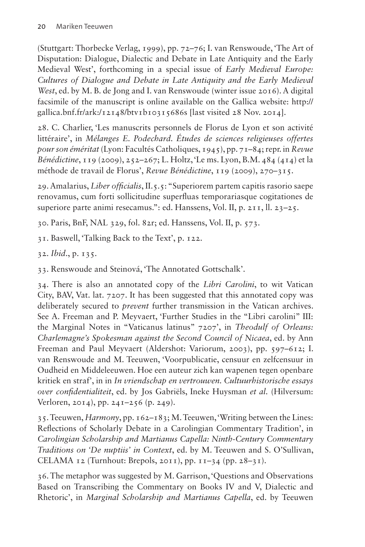(Stuttgart: Thorbecke Verlag, 1999), pp. 72–76; I. van Renswoude, 'The Art of Disputation: Dialogue, Dialectic and Debate in Late Antiquity and the Early Medieval West', forthcoming in a special issue of *Early Medieval Europe: Cultures of Dialogue and Debate in Late Antiquity and the Early Medieval West*, ed. by M. B. de Jong and I. van Renswoude (winter issue 2016). A digital facsimile of the manuscript is online available on the Gallica website: [http://](http://gallica.bnf.fr/ark:/12148/btv1b10315686s) [gallica.bnf.fr/ark:/12148/btv1b10315686s](http://gallica.bnf.fr/ark:/12148/btv1b10315686s) [last visited 28 Nov. 2014].

<span id="page-19-0"></span>28. C. Charlier, 'Les manuscrits personnels de Florus de Lyon et son activité littéraire', in *Mélanges E. Podechard. Études de sciences religieuses offertes pour son éméritat* (Lyon: Facultés Catholiques, 1945), pp. 71–84; repr. in *Revue Bénédictine*, 119 (2009), 252–267; L. Holtz, 'Le ms. Lyon, B.M. 484 (414) et la méthode de travail de Florus', *Revue Bénédictine*, 119 (2009), 270–315.

<span id="page-19-1"></span>29. Amalarius, *Liber officialis*, II.5.5: "Superiorem partem capitis rasorio saepe renovamus, cum forti sollicitudine superfluas temporariasque cogitationes de superiore parte animi resecamus.": ed. Hanssens, Vol. II, p. 211, ll. 23–25.

<span id="page-19-2"></span>30. Paris, BnF, NAL 329, fol. 82r; ed. Hanssens, Vol. II, p. 573.

<span id="page-19-3"></span>31. Baswell, 'Talking Back to the Text', p. 122.

<span id="page-19-4"></span>32. *Ibid*., p. 135.

<span id="page-19-5"></span>33. Renswoude and Steinová, 'The Annotated Gottschalk'.

<span id="page-19-6"></span>34. There is also an annotated copy of the *Libri Carolini*, to wit Vatican City, BAV, Vat. lat. 7207. It has been suggested that this annotated copy was deliberately secured to *prevent* further transmission in the Vatican archives. See A. Freeman and P. Meyvaert, 'Further Studies in the "Libri carolini" III: the Marginal Notes in "Vaticanus latinus" 7207', in *Theodulf of Orleans: Charlemagne's Spokesman against the Second Council of Nicaea*, ed. by Ann Freeman and Paul Meyvaert (Aldershot: Variorum, 2003), pp. 597–612; I. van Renswoude and M. Teeuwen, 'Voorpublicatie, censuur en zelfcensuur in Oudheid en Middeleeuwen. Hoe een auteur zich kan wapenen tegen openbare kritiek en straf', in in *In vriendschap en vertrouwen. Cultuurhistorische essays over confidentialiteit*, ed. by Jos Gabriëls, Ineke Huysman *et al.* (Hilversum: Verloren, 2014), pp. 241–256 (p. 249).

<span id="page-19-7"></span>35. Teeuwen, *Harmony*, pp. 162–183; M. Teeuwen, 'Writing between the Lines: Reflections of Scholarly Debate in a Carolingian Commentary Tradition', in *Carolingian Scholarship and Martianus Capella: Ninth-Century Commentary Traditions on 'De nuptiis' in Context*, ed. by M. Teeuwen and S. O'Sullivan, CELAMA 12 (Turnhout: Brepols, 2011), pp. 11–34 (pp. 28–31).

<span id="page-19-8"></span>36. The metaphor was suggested by M. Garrison, 'Questions and Observations Based on Transcribing the Commentary on Books IV and V, Dialectic and Rhetoric', in *Marginal Scholarship and Martianus Capella*, ed. by Teeuwen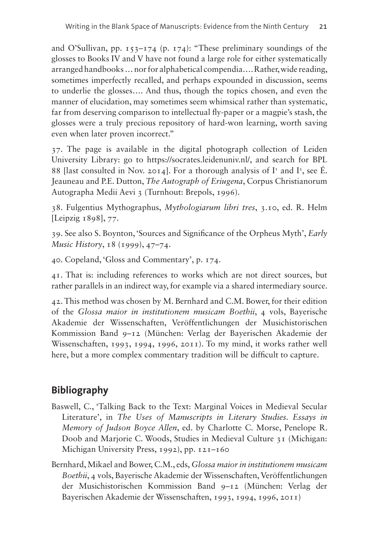and O'Sullivan, pp.  $153-174$  (p. 174): "These preliminary soundings of the glosses to Books IV and V have not found a large role for either systematically arranged handbooks … nor for alphabetical compendia…. Rather, wide reading, sometimes imperfectly recalled, and perhaps expounded in discussion, seems to underlie the glosses…. And thus, though the topics chosen, and even the manner of elucidation, may sometimes seem whimsical rather than systematic, far from deserving comparison to intellectual fly-paper or a magpie's stash, the glosses were a truly precious repository of hard-won learning, worth saving even when later proven incorrect."

<span id="page-20-0"></span>37. The page is available in the digital photograph collection of Leiden University Library: go to [https://socrates.leidenuniv.nl/,](https://socrates.leidenuniv.nl/) and search for BPL 88 [last consulted in Nov. 2014]. For a thorough analysis of  $I^1$  and  $I^2$ , see E. Jeauneau and P.E. Dutton, *The Autograph of Eriugena*, Corpus Christianorum Autographa Medii Aevi 3 (Turnhout: Brepols, 1996).

<span id="page-20-1"></span>38. Fulgentius Mythographus, *Mythologiarum libri tres*, 3.10, ed. R. Helm [Leipzig 1898], 77.

<span id="page-20-2"></span>39. See also S. Boynton, 'Sources and Significance of the Orpheus Myth', *Early Music History*, 18 (1999), 47–74.

<span id="page-20-3"></span>40. Copeland, 'Gloss and Commentary', p. 174.

<span id="page-20-4"></span>41. That is: including references to works which are not direct sources, but rather parallels in an indirect way, for example via a shared intermediary source.

<span id="page-20-5"></span>42. This method was chosen by M. Bernhard and C.M. Bower, for their edition of the *Glossa maior in institutionem musicam Boethii*, 4 vols, Bayerische Akademie der Wissenschaften, Veröffentlichungen der Musichistorischen Kommission Band 9–12 (München: Verlag der Bayerischen Akademie der Wissenschaften, 1993, 1994, 1996, 2011). To my mind, it works rather well here, but a more complex commentary tradition will be difficult to capture.

# **Bibliography**

- Baswell, C., 'Talking Back to the Text: Marginal Voices in Medieval Secular Literature', in *The Uses of Manuscripts in Literary Studies. Essays in Memory of Judson Boyce Allen*, ed. by Charlotte C. Morse, Penelope R. Doob and Marjorie C. Woods, Studies in Medieval Culture 31 (Michigan: Michigan University Press, 1992), pp. 121–160
- Bernhard, Mikael and Bower, C.M., eds, *Glossa maior in institutionem musicam Boethii*, 4 vols, Bayerische Akademie der Wissenschaften, Veröffentlichungen der Musichistorischen Kommission Band 9–12 (München: Verlag der Bayerischen Akademie der Wissenschaften, 1993, 1994, 1996, 2011)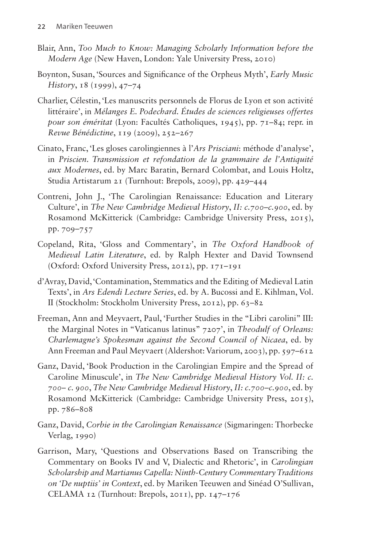- Blair, Ann, *Too Much to Know: Managing Scholarly Information before the Modern Age* (New Haven, London: Yale University Press, 2010)
- Boynton, Susan, 'Sources and Significance of the Orpheus Myth', *Early Music History*, 18 (1999), 47–74
- Charlier, Célestin, 'Les manuscrits personnels de Florus de Lyon et son activité littéraire', in *Mélanges E. Podechard. Études de sciences religieuses offertes pour son éméritat* (Lyon: Facultés Catholiques, 1945), pp. 71–84; repr. in *Revue Bénédictine*, 119 (2009), 252–267
- Cinato, Franc, 'Les gloses carolingiennes à l'*Ars Prisciani*: méthode d'analyse', in *Priscien. Transmission et refondation de la grammaire de l'Antiquité aux Modernes*, ed. by Marc Baratin, Bernard Colombat, and Louis Holtz, Studia Artistarum 21 (Turnhout: Brepols, 2009), pp. 429–444
- Contreni, John J., 'The Carolingian Renaissance: Education and Literary Culture', in *The New Cambridge Medieval History*, *II: c.700–c.900*, ed. by [Rosamond McKitterick](http://universitypublishingonline.org/cambridge/histories/author.jsf;jsessionid=9E968723A7B403A425196A58032DEFCF?name=Rosamond+McKitterick) (Cambridge: Cambridge University Press, 2015), pp. 709–757
- Copeland, Rita, 'Gloss and Commentary', in *The Oxford Handbook of Medieval Latin Literature*, ed. by Ralph Hexter and David Townsend (Oxford: Oxford University Press, 2012), pp. 171–191
- d'Avray, David, 'Contamination, Stemmatics and the Editing of Medieval Latin Texts', in *Ars Edendi Lecture Series*, ed. by A. Bucossi and E. Kihlman, Vol. II (Stockholm: Stockholm University Press, 2012), pp. 63–82
- Freeman, Ann and Meyvaert, Paul, 'Further Studies in the "Libri carolini" III: the Marginal Notes in "Vaticanus latinus" 7207', in *Theodulf of Orleans: Charlemagne's Spokesman against the Second Council of Nicaea*, ed. by Ann Freeman and Paul Meyvaert (Aldershot: Variorum, 2003), pp. 597–612
- Ganz, David, 'Book Production in the Carolingian Empire and the Spread of Caroline Minuscule', in *The New Cambridge Medieval History Vol. II: c. 700– c. 900*, *The New Cambridge Medieval History*, *II: c.700–c.900*, ed. by [Rosamond McKitterick](http://universitypublishingonline.org/cambridge/histories/author.jsf;jsessionid=9E968723A7B403A425196A58032DEFCF?name=Rosamond+McKitterick) (Cambridge: Cambridge University Press, 2015), pp. 786–808
- Ganz, David, *Corbie in the Carolingian Renaissance* (Sigmaringen: Thorbecke Verlag, 1990)
- Garrison, Mary, 'Questions and Observations Based on Transcribing the Commentary on Books IV and V, Dialectic and Rhetoric', in *Carolingian Scholarship and Martianus Capella: Ninth-Century Commentary Traditions on 'De nuptiis' in Context*, ed. by Mariken Teeuwen and Sinéad O'Sullivan, CELAMA 12 (Turnhout: Brepols, 2011), pp. 147–176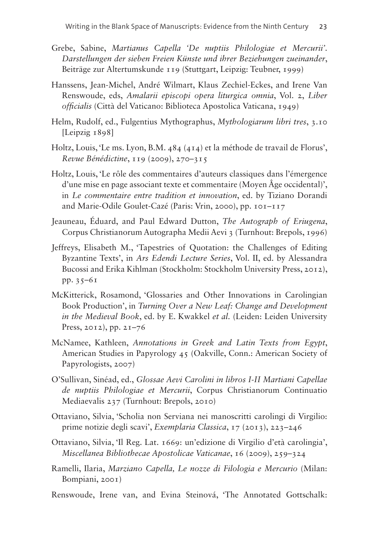- Grebe, Sabine, *Martianus Capella 'De nuptiis Philologiae et Mercurii'. Darstellungen der sieben Freien Künste und ihrer Beziehungen zueinander*, Beiträge zur Altertumskunde 119 (Stuttgart, Leipzig: Teubner, 1999)
- Hanssens, Jean-Michel, André Wilmart, Klaus Zechiel-Eckes, and Irene Van Renswoude, eds, *Amalarii episcopi opera liturgica omnia*, Vol. 2, *Liber officialis* (Città del Vaticano: Biblioteca Apostolica Vaticana, 1949)
- Helm, Rudolf, ed., Fulgentius Mythographus, *Mythologiarum libri tres*, 3.10 [Leipzig 1898]
- Holtz, Louis, 'Le ms. Lyon, B.M. 484 (414) et la méthode de travail de Florus', *Revue Bénédictine*, 119 (2009), 270–315
- Holtz, Louis, 'Le rôle des commentaires d'auteurs classiques dans l'émergence d'une mise en page associant texte et commentaire (Moyen Âge occidental)', in *Le commentaire entre tradition et innovation*, ed. by Tiziano Dorandi and Marie-Odile Goulet-Cazé (Paris: Vrin, 2000), pp. 101–117
- Jeauneau, Éduard, and Paul Edward Dutton, *The Autograph of Eriugena*, Corpus Christianorum Autographa Medii Aevi 3 (Turnhout: Brepols, 1996)
- Jeffreys, Elisabeth M., 'Tapestries of Quotation: the Challenges of Editing Byzantine Texts', in *Ars Edendi Lecture Series*, Vol. II, ed. by Alessandra Bucossi and Erika Kihlman (Stockholm: Stockholm University Press, 2012), pp. 35–61
- McKitterick, Rosamond, 'Glossaries and Other Innovations in Carolingian Book Production', in *Turning Over a New Leaf: Change and Development in the Medieval Book*, ed. by E. Kwakkel *et al.* (Leiden: Leiden University Press, 2012), pp. 21–76
- McNamee, Kathleen, *Annotations in Greek and Latin Texts from Egypt*, American Studies in Papyrology 45 (Oakville, Conn.: American Society of Papyrologists, 2007)
- O'Sullivan, Sinéad, ed., *Glossae Aevi Carolini in libros I-II Martiani Capellae de nuptiis Philologiae et Mercurii*, Corpus Christianorum Continuatio Mediaevalis 237 (Turnhout: Brepols, 2010)
- Ottaviano, Silvia, 'Scholia non Serviana nei manoscritti carolingi di Virgilio: prime notizie degli scavi', *Exemplaria Classica*, 17 (2013), 223–246
- Ottaviano, Silvia, 'Il Reg. Lat. 1669: un'edizione di Virgilio d'età carolingia', *Miscellanea Bibliothecae Apostolicae Vaticanae*, 16 (2009), 259–324
- Ramelli, Ilaria, *Marziano Capella, Le nozze di Filologia e Mercurio* (Milan: Bompiani, 2001)
- Renswoude, Irene van, and Evina Steinová, 'The Annotated Gottschalk: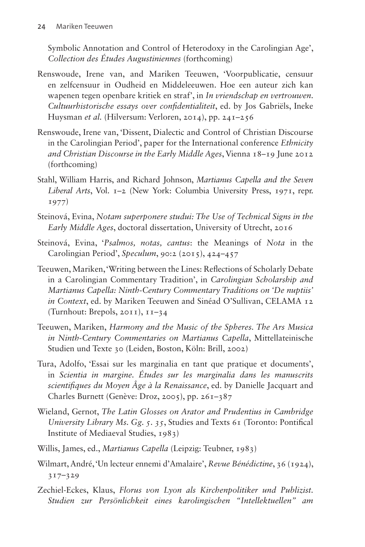Symbolic Annotation and Control of Heterodoxy in the Carolingian Age', *Collection des Études Augustiniennes* (forthcoming)

- Renswoude, Irene van, and Mariken Teeuwen, 'Voorpublicatie, censuur en zelfcensuur in Oudheid en Middeleeuwen. Hoe een auteur zich kan wapenen tegen openbare kritiek en straf', in *In vriendschap en vertrouwen. Cultuurhistorische essays over confidentialiteit*, ed. by Jos Gabriëls, Ineke Huysman *et al.* (Hilversum: Verloren, 2014), pp. 241–256
- Renswoude, Irene van, 'Dissent, Dialectic and Control of Christian Discourse in the Carolingian Period', paper for the International conference *Ethnicity and Christian Discourse in the Early Middle Ages*, Vienna 18–19 June 2012 (forthcoming)
- Stahl, William Harris, and Richard Johnson, *Martianus Capella and the Seven Liberal Arts*, Vol. 1–2 (New York: Columbia University Press, 1971, repr. 1977)
- Steinová, Evina, *Notam superponere studui: The Use of Technical Signs in the Early Middle Ages*, doctoral dissertation, University of Utrecht, 2016
- Steinová, Evina, '*Psalmos, notas, cantus*: the Meanings of *Nota* in the Carolingian Period', *Speculum*, 90:2 (2015), 424–457
- Teeuwen, Mariken, 'Writing between the Lines: Reflections of Scholarly Debate in a Carolingian Commentary Tradition', in *Carolingian Scholarship and Martianus Capella: Ninth-Century Commentary Traditions on 'De nuptiis' in Context*, ed. by Mariken Teeuwen and Sinéad O'Sullivan, CELAMA 12 (Turnhout: Brepols, 2011), 11–34
- Teeuwen, Mariken, *Harmony and the Music of the Spheres. The Ars Musica in Ninth-Century Commentaries on Martianus Capella*, Mittellateinische Studien und Texte 30 (Leiden, Boston, Köln: Brill, 2002)
- Tura, Adolfo, 'Essai sur les marginalia en tant que pratique et documents', in *Scientia in margine. Études sur les marginalia dans les manuscrits scientifiques du Moyen Âge à la Renaissance*, ed. by Danielle Jacquart and Charles Burnett (Genève: Droz, 2005), pp. 261–387
- Wieland, Gernot, *The Latin Glosses on Arator and Prudentius in Cambridge University Library Ms. Gg. 5. 35*, Studies and Texts 61 (Toronto: Pontifical Institute of Mediaeval Studies, 1983)
- Willis, James, ed., *Martianus Capella* (Leipzig: Teubner, 1983)
- Wilmart, André, 'Un lecteur ennemi d'Amalaire', *Revue Bénédictine*, 36 (1924), 317–329
- Zechiel-Eckes, Klaus, *Florus von Lyon als Kirchenpolitiker und Publizist. Studien zur Persönlichkeit eines karolingischen "Intellektuellen" am*